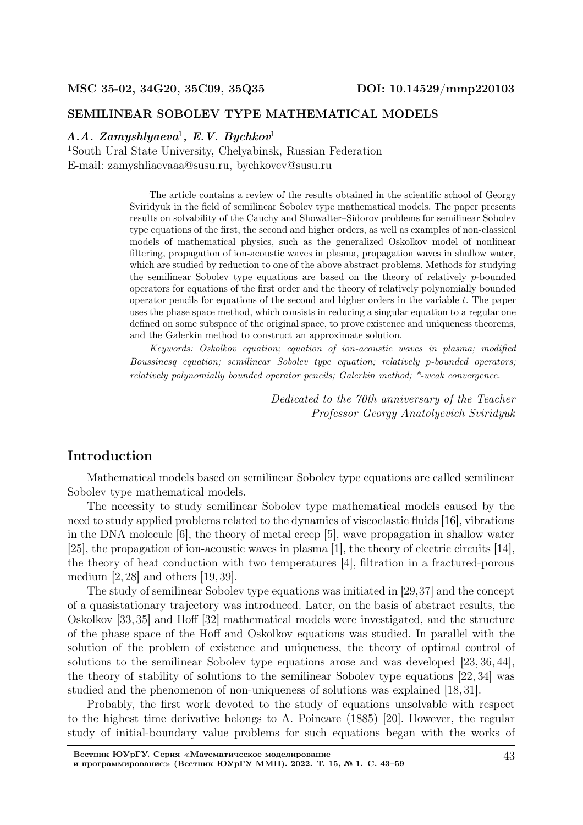#### SEMILINEAR SOBOLEV TYPE MATHEMATICAL MODELS

#### $A.A. Zamyshlyaeva<sup>1</sup>, E.V. Bychkov<sup>1</sup>$

<sup>1</sup>South Ural State University, Chelyabinsk, Russian Federation E-mail: zamyshliaevaaa@susu.ru, bychkovev@susu.ru

> The article contains a review of the results obtained in the scientific school of Georgy Sviridyuk in the field of semilinear Sobolev type mathematical models. The paper presents results on solvability of the Cauchy and Showalter–Sidorov problems for semilinear Sobolev type equations of the first, the second and higher orders, as well as examples of non-classical models of mathematical physics, such as the generalized Oskolkov model of nonlinear filtering, propagation of ion-acoustic waves in plasma, propagation waves in shallow water, which are studied by reduction to one of the above abstract problems. Methods for studying the semilinear Sobolev type equations are based on the theory of relatively p-bounded operators for equations of the first order and the theory of relatively polynomially bounded operator pencils for equations of the second and higher orders in the variable  $t$ . The paper uses the phase space method, which consists in reducing a singular equation to a regular one defined on some subspace of the original space, to prove existence and uniqueness theorems, and the Galerkin method to construct an approximate solution.

> Keywords: Oskolkov equation; equation of ion-acoustic waves in plasma; modified Boussinesq equation; semilinear Sobolev type equation; relatively p-bounded operators; relatively polynomially bounded operator pencils; Galerkin method; \*-weak convergence.

> > Dedicated to the 70th anniversary of the Teacher Professor Georgy Anatolyevich Sviridyuk

## Introduction

Mathematical models based on semilinear Sobolev type equations are called semilinear Sobolev type mathematical models.

The necessity to study semilinear Sobolev type mathematical models caused by the need to study applied problems related to the dynamics of viscoelastic fluids [16], vibrations in the DNA molecule [6], the theory of metal creep [5], wave propagation in shallow water [25], the propagation of ion-acoustic waves in plasma [1], the theory of electric circuits [14], the theory of heat conduction with two temperatures [4], filtration in a fractured-porous medium  $\left[2, 28\right]$  and others  $\left[19, 39\right]$ .

The study of semilinear Sobolev type equations was initiated in [29,37] and the concept of a quasistationary trajectory was introduced. Later, on the basis of abstract results, the Oskolkov [33, 35] and Hoff [32] mathematical models were investigated, and the structure of the phase space of the Hoff and Oskolkov equations was studied. In parallel with the solution of the problem of existence and uniqueness, the theory of optimal control of solutions to the semilinear Sobolev type equations arose and was developed [23, 36, 44], the theory of stability of solutions to the semilinear Sobolev type equations [22, 34] was studied and the phenomenon of non-uniqueness of solutions was explained [18, 31].

Probably, the first work devoted to the study of equations unsolvable with respect to the highest time derivative belongs to A. Poincare (1885) [20]. However, the regular study of initial-boundary value problems for such equations began with the works of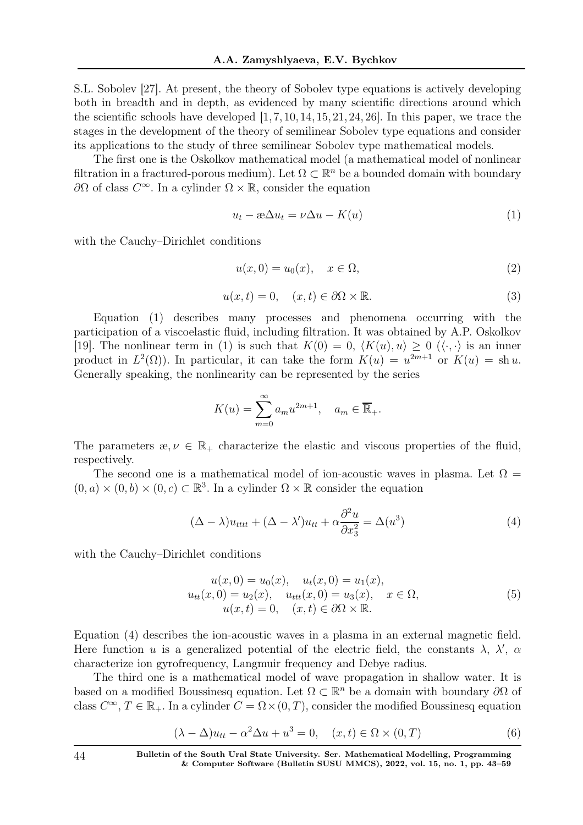S.L. Sobolev [27]. At present, the theory of Sobolev type equations is actively developing both in breadth and in depth, as evidenced by many scientific directions around which the scientific schools have developed  $[1, 7, 10, 14, 15, 21, 24, 26]$ . In this paper, we trace the stages in the development of the theory of semilinear Sobolev type equations and consider its applications to the study of three semilinear Sobolev type mathematical models.

The first one is the Oskolkov mathematical model (a mathematical model of nonlinear filtration in a fractured-porous medium). Let  $\Omega \subset \mathbb{R}^n$  be a bounded domain with boundary  $\partial Ω$  of class  $C^{\infty}$ . In a cylinder  $Ω \times ℝ$ , consider the equation

$$
u_t - x\Delta u_t = \nu \Delta u - K(u) \tag{1}
$$

with the Cauchy–Dirichlet conditions

$$
u(x,0) = u_0(x), \quad x \in \Omega,
$$
\n<sup>(2)</sup>

$$
u(x,t) = 0, \quad (x,t) \in \partial\Omega \times \mathbb{R}.
$$
 (3)

Equation (1) describes many processes and phenomena occurring with the participation of a viscoelastic fluid, including filtration. It was obtained by A.P. Oskolkov [19]. The nonlinear term in (1) is such that  $K(0) = 0$ ,  $\langle K(u), u \rangle \ge 0$   $(\langle \cdot, \cdot \rangle)$  is an inner product in  $L^2(\Omega)$ . In particular, it can take the form  $K(u) = u^{2m+1}$  or  $K(u) = \text{sh } u$ . Generally speaking, the nonlinearity can be represented by the series

$$
K(u) = \sum_{m=0}^{\infty} a_m u^{2m+1}, \quad a_m \in \overline{\mathbb{R}}_+.
$$

The parameters  $x, \nu \in \mathbb{R}_+$  characterize the elastic and viscous properties of the fluid, respectively.

The second one is a mathematical model of ion-acoustic waves in plasma. Let  $\Omega =$  $(0, a) \times (0, b) \times (0, c) \subset \mathbb{R}^3$ . In a cylinder  $\Omega \times \mathbb{R}$  consider the equation

$$
(\Delta - \lambda)u_{tttt} + (\Delta - \lambda')u_{tt} + \alpha \frac{\partial^2 u}{\partial x_3^2} = \Delta(u^3)
$$
\n(4)

with the Cauchy–Dirichlet conditions

$$
u(x, 0) = u_0(x), \quad u_t(x, 0) = u_1(x),
$$
  
\n
$$
u_{tt}(x, 0) = u_2(x), \quad u_{ttt}(x, 0) = u_3(x), \quad x \in \Omega,
$$
  
\n
$$
u(x, t) = 0, \quad (x, t) \in \partial\Omega \times \mathbb{R}.
$$
\n(5)

Equation (4) describes the ion-acoustic waves in a plasma in an external magnetic field. Here function u is a generalized potential of the electric field, the constants  $\lambda$ ,  $\lambda'$ ,  $\alpha$ characterize ion gyrofrequency, Langmuir frequency and Debye radius.

The third one is a mathematical model of wave propagation in shallow water. It is based on a modified Boussinesq equation. Let  $\Omega \subset \mathbb{R}^n$  be a domain with boundary  $\partial\Omega$  of class  $C^{\infty}$ ,  $T \in \mathbb{R}_{+}$ . In a cylinder  $C = \Omega \times (0, T)$ , consider the modified Boussinesq equation

$$
(\lambda - \Delta)u_{tt} - \alpha^2 \Delta u + u^3 = 0, \quad (x, t) \in \Omega \times (0, T)
$$
 (6)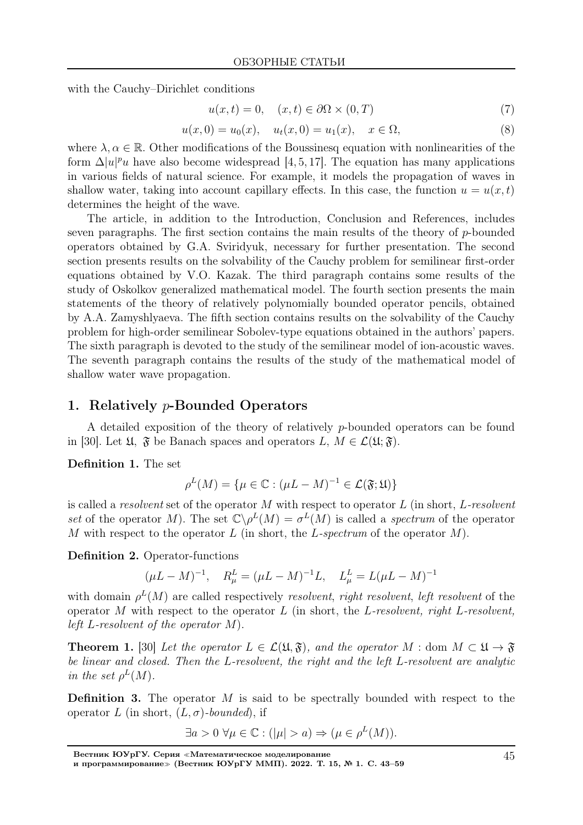with the Cauchy–Dirichlet conditions

$$
u(x,t) = 0, \quad (x,t) \in \partial\Omega \times (0,T) \tag{7}
$$

$$
u(x,0) = u_0(x), \quad u_t(x,0) = u_1(x), \quad x \in \Omega,
$$
\n(8)

where  $\lambda, \alpha \in \mathbb{R}$ . Other modifications of the Boussinesq equation with nonlinearities of the form  $\Delta |u|^p u$  have also become widespread [4, 5, 17]. The equation has many applications in various fields of natural science. For example, it models the propagation of waves in shallow water, taking into account capillary effects. In this case, the function  $u = u(x, t)$ determines the height of the wave.

The article, in addition to the Introduction, Conclusion and References, includes seven paragraphs. The first section contains the main results of the theory of  $p$ -bounded operators obtained by G.A. Sviridyuk, necessary for further presentation. The second section presents results on the solvability of the Cauchy problem for semilinear first-order equations obtained by V.O. Kazak. The third paragraph contains some results of the study of Oskolkov generalized mathematical model. The fourth section presents the main statements of the theory of relatively polynomially bounded operator pencils, obtained by A.A. Zamyshlyaeva. The fifth section contains results on the solvability of the Cauchy problem for high-order semilinear Sobolev-type equations obtained in the authors' papers. The sixth paragraph is devoted to the study of the semilinear model of ion-acoustic waves. The seventh paragraph contains the results of the study of the mathematical model of shallow water wave propagation.

### 1. Relatively p-Bounded Operators

A detailed exposition of the theory of relatively p-bounded operators can be found in [30]. Let  $\mathfrak{U}, \mathfrak{F}$  be Banach spaces and operators  $L, M \in \mathcal{L}(\mathfrak{U}; \mathfrak{F}).$ 

Definition 1. The set

$$
\rho^L(M) = \{ \mu \in \mathbb{C} : (\mu L - M)^{-1} \in \mathcal{L}(\mathfrak{F}; \mathfrak{U}) \}
$$

is called a resolvent set of the operator  $M$  with respect to operator  $L$  (in short,  $L$ -resolvent set of the operator M). The set  $\mathbb{C}\backslash \rho^L(M) = \sigma^L(M)$  is called a spectrum of the operator M with respect to the operator L (in short, the L-spectrum of the operator  $M$ ).

Definition 2. Operator-functions

$$
(\mu L - M)^{-1}, \quad R_{\mu}^{L} = (\mu L - M)^{-1}L, \quad L_{\mu}^{L} = L(\mu L - M)^{-1}
$$

with domain  $\rho^L(M)$  are called respectively resolvent, right resolvent, left resolvent of the operator M with respect to the operator L (in short, the L-resolvent, right L-resolvent, left L-resolvent of the operator  $M$ ).

**Theorem 1.** [30] Let the operator  $L \in \mathcal{L}(\mathfrak{U}, \mathfrak{F})$ , and the operator  $M : \text{dom } M \subset \mathfrak{U} \to \mathfrak{F}$ be linear and closed. Then the L-resolvent, the right and the left L-resolvent are analytic in the set  $\rho^L(M)$ .

**Definition 3.** The operator  $M$  is said to be spectrally bounded with respect to the operator L (in short,  $(L, \sigma)$ -bounded), if

$$
\exists a > 0 \,\,\forall \mu \in \mathbb{C} : (|\mu| > a) \Rightarrow (\mu \in \rho^L(M)).
$$

Вестник ЮУрГУ. Серия <sup>≪</sup>Математическое моделирование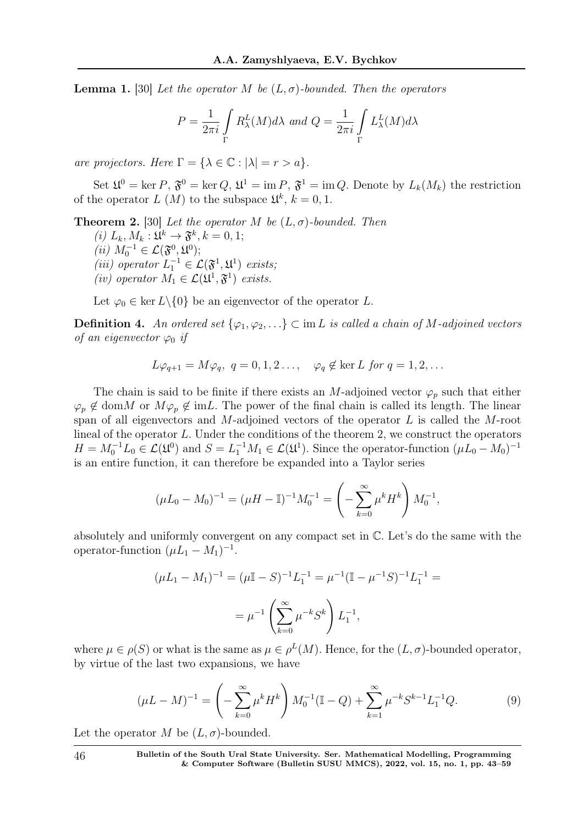**Lemma 1.** [30] Let the operator M be  $(L, \sigma)$ -bounded. Then the operators

$$
P = \frac{1}{2\pi i} \int\limits_{\Gamma} R_{\lambda}^{L}(M) d\lambda \text{ and } Q = \frac{1}{2\pi i} \int\limits_{\Gamma} L_{\lambda}^{L}(M) d\lambda
$$

are projectors. Here  $\Gamma = {\lambda \in \mathbb{C} : |\lambda| = r > a}.$ 

Set  $\mathfrak{U}^0 = \text{ker } P$ ,  $\mathfrak{F}^0 = \text{ker } Q$ ,  $\mathfrak{U}^1 = \text{im } P$ ,  $\mathfrak{F}^1 = \text{im } Q$ . Denote by  $L_k(M_k)$  the restriction of the operator L  $(M)$  to the subspace  $\mathfrak{U}^k$ ,  $k = 0, 1$ .

**Theorem 2.** [30] Let the operator M be  $(L, \sigma)$ -bounded. Then

- (*i*)  $L_k, M_k: \mathfrak{U}^k \to \mathfrak{F}^k, k = 0, 1;$  $(ii) M_0^{-1} ∈ \mathcal{L}(\mathfrak{F}^0, \mathfrak{U}^0);$ (iii) operator  $L_1^{-1} \in \mathcal{L}(\mathfrak{F}^1, \mathfrak{U}^1)$  exists;
- (iv) operator  $M_1 \in \mathcal{L}(\mathfrak{U}^1, \mathfrak{F}^1)$  exists.

Let  $\varphi_0 \in \ker L \setminus \{0\}$  be an eigenvector of the operator L.

**Definition 4.** An ordered set  $\{\varphi_1, \varphi_2, ...\} \subset \text{im } L$  is called a chain of M-adjoined vectors of an eigenvector  $\varphi_0$  if

$$
L\varphi_{q+1} = M\varphi_q, \ q = 0, 1, 2 \dots, \quad \varphi_q \notin \ker L \text{ for } q = 1, 2, \dots
$$

The chain is said to be finite if there exists an M-adjoined vector  $\varphi_p$  such that either  $\varphi_p \notin \text{dom } M$  or  $M\varphi_p \notin \text{im } L$ . The power of the final chain is called its length. The linear span of all eigenvectors and M-adjoined vectors of the operator L is called the M-root lineal of the operator L. Under the conditions of the theorem 2, we construct the operators  $H = M_0^{-1}L_0 \in \mathcal{L}(\mathfrak{U}^0)$  and  $S = L_1^{-1}M_1 \in \mathcal{L}(\mathfrak{U}^1)$ . Since the operator-function  $(\mu L_0 - M_0)^{-1}$ is an entire function, it can therefore be expanded into a Taylor series

$$
(\mu L_0 - M_0)^{-1} = (\mu H - \mathbb{I})^{-1} M_0^{-1} = \left( -\sum_{k=0}^{\infty} \mu^k H^k \right) M_0^{-1},
$$

absolutely and uniformly convergent on any compact set in C. Let's do the same with the operator-function  $(\mu L_1 - M_1)^{-1}$ .

$$
(\mu L_1 - M_1)^{-1} = (\mu \mathbb{I} - S)^{-1} L_1^{-1} = \mu^{-1} (\mathbb{I} - \mu^{-1} S)^{-1} L_1^{-1} =
$$

$$
= \mu^{-1} \left( \sum_{k=0}^{\infty} \mu^{-k} S^k \right) L_1^{-1},
$$

where  $\mu \in \rho(S)$  or what is the same as  $\mu \in \rho<sup>L</sup>(M)$ . Hence, for the  $(L, \sigma)$ -bounded operator, by virtue of the last two expansions, we have

$$
(\mu L - M)^{-1} = \left(-\sum_{k=0}^{\infty} \mu^k H^k\right) M_0^{-1} (\mathbb{I} - Q) + \sum_{k=1}^{\infty} \mu^{-k} S^{k-1} L_1^{-1} Q. \tag{9}
$$

Let the operator M be  $(L, \sigma)$ -bounded.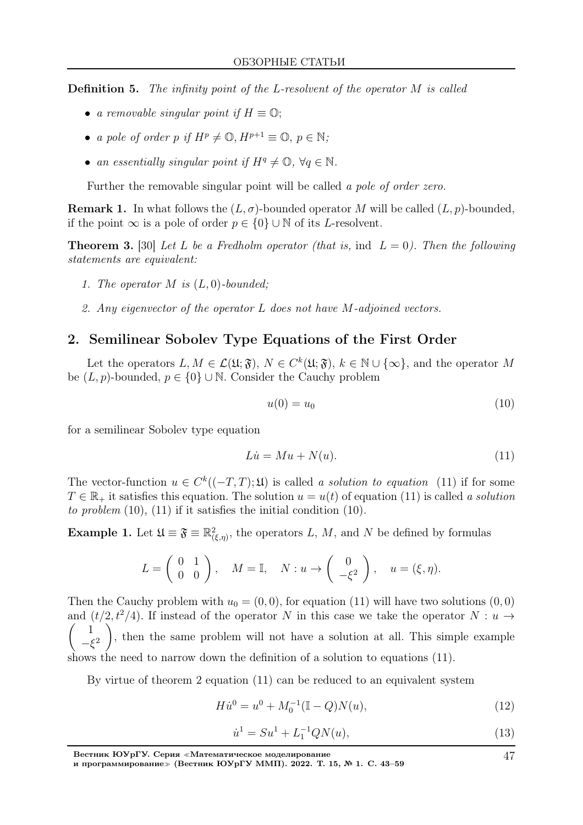Definition 5. The infinity point of the L-resolvent of the operator M is called

- a removable singular point if  $H \equiv \mathbb{O}$ ;
- a pole of order p if  $H^p \neq \mathbb{O}, H^{p+1} \equiv \mathbb{O}, p \in \mathbb{N}$ ;
- an essentially singular point if  $H^q \neq \mathbb{O}, \forall q \in \mathbb{N}$ .

Further the removable singular point will be called a pole of order zero.

**Remark 1.** In what follows the  $(L, \sigma)$ -bounded operator M will be called  $(L, p)$ -bounded, if the point  $\infty$  is a pole of order  $p \in \{0\} \cup \mathbb{N}$  of its *L*-resolvent.

**Theorem 3.** [30] Let L be a Fredholm operator (that is, ind  $L = 0$ ). Then the following statements are equivalent:

- 1. The operator  $M$  is  $(L, 0)$ -bounded;
- 2. Any eigenvector of the operator L does not have M-adjoined vectors.

## 2. Semilinear Sobolev Type Equations of the First Order

Let the operators  $L, M \in \mathcal{L}(\mathfrak{U}; \mathfrak{F}), N \in C^k(\mathfrak{U}; \mathfrak{F}), k \in \mathbb{N} \cup \{\infty\},\$ and the operator M be  $(L, p)$ -bounded,  $p \in \{0\} \cup \mathbb{N}$ . Consider the Cauchy problem

$$
u(0) = u_0 \tag{10}
$$

for a semilinear Sobolev type equation

$$
Lu = Mu + N(u). \tag{11}
$$

The vector-function  $u \in C^k((-T,T);\mathfrak{U})$  is called a solution to equation (11) if for some  $T \in \mathbb{R}_+$  it satisfies this equation. The solution  $u = u(t)$  of equation (11) is called a solution to problem  $(10)$ ,  $(11)$  if it satisfies the initial condition  $(10)$ .

**Example 1.** Let  $\mathfrak{U} \equiv \mathfrak{F} \equiv \mathbb{R}^2_{(\xi,\eta)},$  the operators L, M, and N be defined by formulas

$$
L = \begin{pmatrix} 0 & 1 \\ 0 & 0 \end{pmatrix}, \quad M = \mathbb{I}, \quad N: u \to \begin{pmatrix} 0 \\ -\xi^2 \end{pmatrix}, \quad u = (\xi, \eta).
$$

Then the Cauchy problem with  $u_0 = (0, 0)$ , for equation (11) will have two solutions  $(0, 0)$ and  $(t/2, t^2/4)$ . If instead of the operator N in this case we take the operator  $N : u \to$  $\sqrt{ }$ 1  $-\xi$ 2  $\setminus$ , then the same problem will not have a solution at all. This simple example shows the need to narrow down the definition of a solution to equations (11).

By virtue of theorem 2 equation (11) can be reduced to an equivalent system

$$
H\dot{u}^0 = u^0 + M_0^{-1}(\mathbb{I} - Q)N(u),\tag{12}
$$

$$
\dot{u}^1 = Su^1 + L_1^{-1} QN(u),\tag{13}
$$

47

Вестник ЮУрГУ. Серия <sup>≪</sup>Математическое моделирование

и программирование<sup>≫</sup> (Вестник ЮУрГУ ММП). 2022. Т. 15, № 1. С. 43–59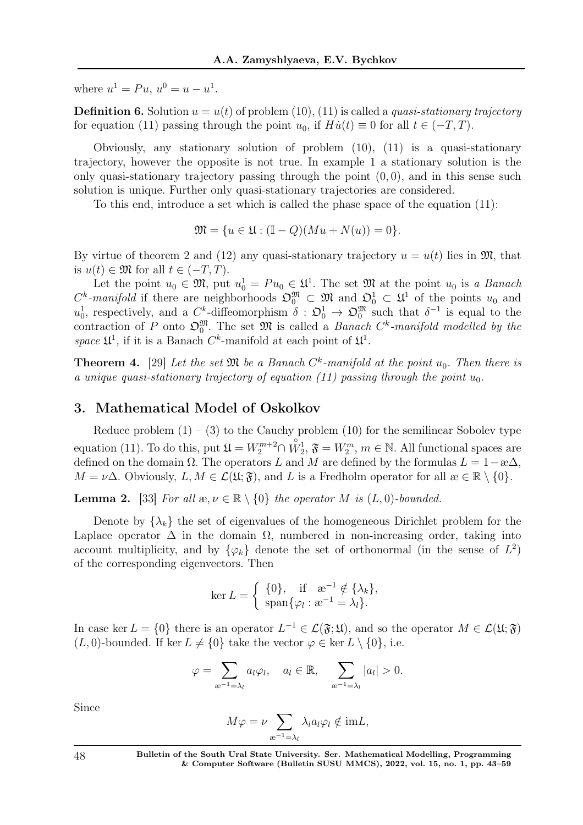where  $u^1 = Pu, u^0 = u - u^1$ .

**Definition 6.** Solution  $u = u(t)$  of problem (10), (11) is called a *quasi-stationary trajectory* for equation (11) passing through the point  $u_0$ , if  $H\dot{u}(t) \equiv 0$  for all  $t \in (-T, T)$ .

Obviously, any stationary solution of problem (10), (11) is a quasi-stationary trajectory, however the opposite is not true. In example 1 a stationary solution is the only quasi-stationary trajectory passing through the point  $(0, 0)$ , and in this sense such solution is unique. Further only quasi-stationary trajectories are considered.

To this end, introduce a set which is called the phase space of the equation (11):

$$
\mathfrak{M} = \{ u \in \mathfrak{U} : (\mathbb{I} - Q)(Mu + N(u)) = 0 \}.
$$

By virtue of theorem 2 and (12) any quasi-stationary trajectory  $u = u(t)$  lies in  $\mathfrak{M}$ , that is  $u(t) \in \mathfrak{M}$  for all  $t \in (-T, T)$ .

Let the point  $u_0 \in \mathfrak{M}$ , put  $u_0^1 = Pu_0 \in \mathfrak{U}^1$ . The set  $\mathfrak{M}$  at the point  $u_0$  is a *Banach*  $C^k$ -manifold if there are neighborhoods  $\mathfrak{O}_0^{\mathfrak{M}} \subset \mathfrak{M}$  and  $\mathfrak{O}_0^1 \subset \mathfrak{U}^1$  of the points  $u_0$  and  $u_0^1$ , respectively, and a  $C^k$ -diffeomorphism  $\delta : \mathfrak{O}_0^1 \to \mathfrak{O}_0^{\mathfrak{M}}$  such that  $\delta^{-1}$  is equal to the contraction of P onto  $\mathfrak{O}_0^{\mathfrak{M}}$ . The set  $\mathfrak{M}$  is called a *Banach*  $C^k$ -manifold modelled by the space  $\mathfrak{U}^1$ , if it is a Banach  $C^k$ -manifold at each point of  $\mathfrak{U}^1$ .

**Theorem 4.** [29] Let the set  $\mathfrak{M}$  be a Banach  $C^k$ -manifold at the point  $u_0$ . Then there is a unique quasi-stationary trajectory of equation (11) passing through the point  $u_0$ .

## 3. Mathematical Model of Oskolkov

Reduce problem  $(1) - (3)$  to the Cauchy problem  $(10)$  for the semilinear Sobolev type equation (11). To do this, put  $\mathfrak{U} = W_2^{m+2} \cap$  $\overrightarrow{W}_2^1$ ,  $\mathfrak{F} = W_2^m$ ,  $m \in \mathbb{N}$ . All functional spaces are defined on the domain  $\Omega$ . The operators L and M are defined by the formulas  $L = 1-\omega\Delta$ ,  $M = \nu\Delta$ . Obviously,  $L, M \in \mathcal{L}(\mathfrak{U}; \mathfrak{F})$ , and L is a Fredholm operator for all  $\mathfrak{B} \in \mathbb{R} \setminus \{0\}$ .

**Lemma 2.** [33] For all  $x, y \in \mathbb{R} \setminus \{0\}$  the operator M is  $(L, 0)$ -bounded.

Denote by  $\{\lambda_k\}$  the set of eigenvalues of the homogeneous Dirichlet problem for the Laplace operator  $\Delta$  in the domain  $\Omega$ , numbered in non-increasing order, taking into account multiplicity, and by  $\{\varphi_k\}$  denote the set of orthonormal (in the sense of  $L^2$ ) of the corresponding eigenvectors. Then

$$
\ker L = \begin{cases} \{0\}, & \text{if } x^{-1} \notin \{\lambda_k\}, \\ \text{span}\{\varphi_l : x^{-1} = \lambda_l\}. \end{cases}
$$

In case ker  $L = \{0\}$  there is an operator  $L^{-1} \in \mathcal{L}(\mathfrak{F}; \mathfrak{U})$ , and so the operator  $M \in \mathcal{L}(\mathfrak{U}; \mathfrak{F})$  $(L, 0)$ -bounded. If ker  $L \neq \{0\}$  take the vector  $\varphi \in \ker L \setminus \{0\}$ , i.e.

$$
\varphi = \sum_{\mathbf{a}^{-1}=\lambda_l} a_l \varphi_l, \quad a_l \in \mathbb{R}, \quad \sum_{\mathbf{a}^{-1}=\lambda_l} |a_l| > 0.
$$

Since

$$
M\varphi = \nu \sum_{\mathbf{a}^{-1}=\lambda_l} \lambda_l a_l \varphi_l \notin \mathrm{im} L,
$$

48 Bulletin of the South Ural State University. Ser. Mathematical Modelling, Programming & Computer Software (Bulletin SUSU MMCS), 2022, vol. 15, no. 1, pp. 43–59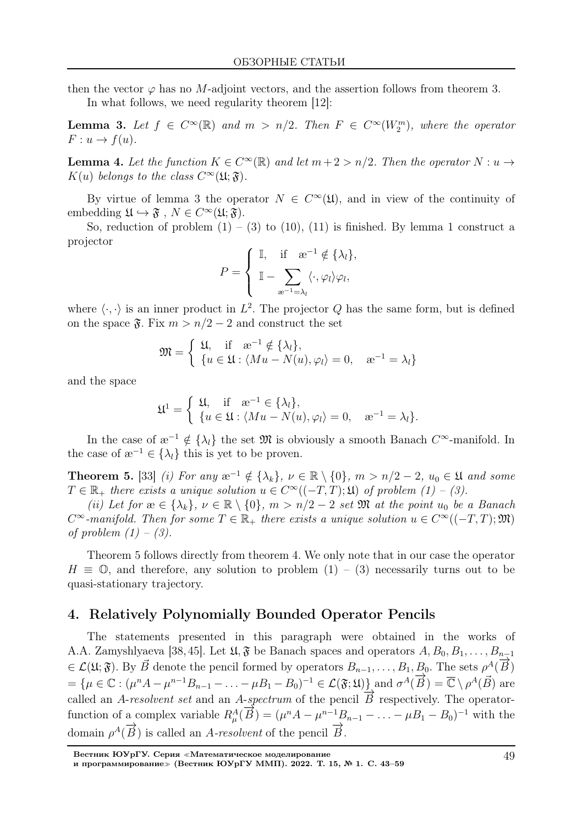then the vector  $\varphi$  has no M-adjoint vectors, and the assertion follows from theorem 3.

In what follows, we need regularity theorem [12]:

**Lemma 3.** Let  $f \in C^{\infty}(\mathbb{R})$  and  $m > n/2$ . Then  $F \in C^{\infty}(W_2^m)$ , where the operator  $F: u \to f(u)$ .

**Lemma 4.** Let the function  $K \in C^{\infty}(\mathbb{R})$  and let  $m + 2 > n/2$ . Then the operator  $N : u \to u$  $K(u)$  belongs to the class  $C^{\infty}(\mathfrak{U};\mathfrak{F}).$ 

By virtue of lemma 3 the operator  $N \in C^{\infty}(\mathfrak{U})$ , and in view of the continuity of embedding  $\mathfrak{U} \hookrightarrow \mathfrak{F}$ ,  $N \in C^{\infty}(\mathfrak{U}; \mathfrak{F})$ .

So, reduction of problem  $(1) - (3)$  to  $(10)$ ,  $(11)$  is finished. By lemma 1 construct a projector

$$
P = \begin{cases} \mathbb{I}, & \text{if } \mathbb{R}^{-1} \notin {\lambda_l}, \\ \mathbb{I} - \sum_{\mathbb{R}^{-1} = \lambda_l} \langle \cdot, \varphi_l \rangle \varphi_l, \end{cases}
$$

where  $\langle \cdot, \cdot \rangle$  is an inner product in  $L^2$ . The projector Q has the same form, but is defined on the space  $\mathfrak{F}$ . Fix  $m > n/2 - 2$  and construct the set

$$
\mathfrak{M} = \begin{cases} \mathfrak{U}, & \text{if } \mathfrak{B}^{-1} \notin \{\lambda_l\}, \\ \{u \in \mathfrak{U} : \langle Mu - N(u), \varphi_l \rangle = 0, \quad \mathfrak{B}^{-1} = \lambda_l\} \end{cases}
$$

and the space

$$
\mathfrak{U}^1 = \begin{cases} \mathfrak{U}, & \text{if } \mathfrak{B}^{-1} \in \{\lambda_l\}, \\ \{u \in \mathfrak{U} : \langle Mu - N(u), \varphi_l \rangle = 0, \quad \mathfrak{B}^{-1} = \lambda_l\}. \end{cases}
$$

In the case of  $\mathfrak{E}^{-1} \notin {\lambda_l}$  the set  $\mathfrak{M}$  is obviously a smooth Banach  $C^{\infty}$ -manifold. In the case of  $\mathbf{a}^{-1} \in \{\lambda_l\}$  this is yet to be proven.

**Theorem 5.** [33] (i) For any  $x^{-1} \notin {\lambda_k}$ ,  $\nu \in \mathbb{R} \setminus \{0\}$ ,  $m > n/2 - 2$ ,  $u_0 \in \mathfrak{U}$  and some  $T \in \mathbb{R}_+$  there exists a unique solution  $u \in C^{\infty}((-T,T);\mathfrak{U})$  of problem  $(1) - (3)$ .

(ii) Let for  $x \in {\lambda_k}$ ,  $\nu \in \mathbb{R} \setminus \{0\}$ ,  $m > n/2 - 2$  set  $\mathfrak{M}$  at the point  $u_0$  be a Banach  $C^{\infty}$ -manifold. Then for some  $T \in \mathbb{R}_+$  there exists a unique solution  $u \in C^{\infty}((-T,T); \mathfrak{M})$ of problem  $(1) - (3)$ .

Theorem 5 follows directly from theorem 4. We only note that in our case the operator  $H \equiv \mathbb{O}$ , and therefore, any solution to problem  $(1) - (3)$  necessarily turns out to be quasi-stationary trajectory.

### 4. Relatively Polynomially Bounded Operator Pencils

The statements presented in this paragraph were obtained in the works of A.A. Zamyshlyaeva [38, 45]. Let  $\mathfrak{U}, \mathfrak{F}$  be Banach spaces and operators  $A, B_0, B_1, \ldots, B_{n-1}$  $\in \mathcal{L}(\mathfrak{U}; \mathfrak{F})$ . By  $\vec{B}$  denote the pencil formed by operators  $B_{n-1}, \ldots, B_1, B_0$ . The sets  $\rho^A(\vec{B})$  $= {\mu \in \mathbb{C} : (\mu^n A - \mu^{n-1} B_{n-1} - \ldots - \mu B_1 - B_0)^{-1} \in \mathcal{L}(\mathfrak{F}; \mathfrak{U})}$  and  $\sigma^A(\overrightarrow{B}) = \overline{\mathbb{C}} \setminus \rho^A(\overrightarrow{B})$  are called an A-resolvent set and an A-spectrum of the pencil  $\overrightarrow{B}$  respectively. The operatorfunction of a complex variable  $R^A_\mu(\vec{B}) = (\mu^n A - \mu^{n-1}B_{n-1} - \ldots - \mu B_1 - B_0)^{-1}$  with the domain  $\rho^A(\overrightarrow{B})$  is called an A-resolvent of the pencil  $\overrightarrow{B}$ .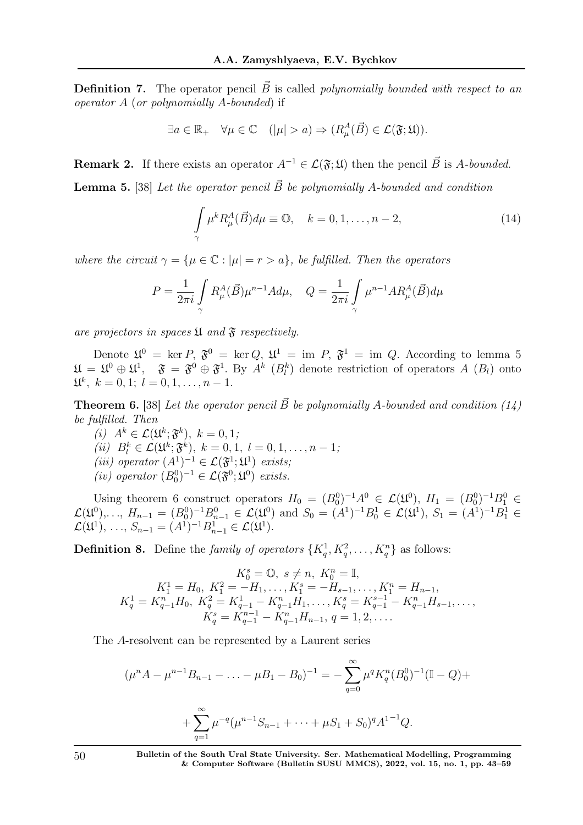**Definition 7.** The operator pencil  $\vec{B}$  is called polynomially bounded with respect to an operator A (or polynomially A-bounded) if

$$
\exists a \in \mathbb{R}_+ \quad \forall \mu \in \mathbb{C} \quad (|\mu| > a) \Rightarrow (R^A_\mu(\vec{B}) \in \mathcal{L}(\mathfrak{F}; \mathfrak{U})).
$$

**Remark 2.** If there exists an operator  $A^{-1} \in \mathcal{L}(\mathfrak{F}; \mathfrak{U})$  then the pencil  $\vec{B}$  is A-bounded.

**Lemma 5.** [38] Let the operator pencil  $\vec{B}$  be polynomially A-bounded and condition

$$
\int_{\gamma} \mu^k R^A_{\mu}(\vec{B}) d\mu \equiv \mathbb{O}, \quad k = 0, 1, \dots, n-2,
$$
\n(14)

where the circuit  $\gamma = {\mu \in \mathbb{C} : |\mu| = r > a}$ , be fulfilled. Then the operators

$$
P = \frac{1}{2\pi i} \int\limits_{\gamma} R^A_{\mu}(\vec{B}) \mu^{n-1} A d\mu, \quad Q = \frac{1}{2\pi i} \int\limits_{\gamma} \mu^{n-1} A R^A_{\mu}(\vec{B}) d\mu
$$

are projectors in spaces  $\mathfrak U$  and  $\mathfrak F$  respectively.

Denote  $\mathfrak{U}^0 = \text{ker } P, \ \mathfrak{F}^0 = \text{ker } Q, \ \mathfrak{U}^1 = \text{im } P, \ \mathfrak{F}^1 = \text{im } Q.$  According to lemma 5  $\mathfrak{U} = \mathfrak{U}^0 \oplus \mathfrak{U}^1$ ,  $\mathfrak{F} = \mathfrak{F}^0 \oplus \mathfrak{F}^1$ . By  $A^k$   $(B_l^k)$  denote restriction of operators  $A(R_l)$  onto  $\mathfrak{U}^k, k = 0, 1; l = 0, 1, \ldots, n - 1.$ 

**Theorem 6.** [38] Let the operator pencil  $\vec{B}$  be polynomially A-bounded and condition (14) be fulfilled. Then

(i)  $A^k \in \mathcal{L}(\mathfrak{U}^k; \mathfrak{F}^k), k = 0, 1;$ (*ii*)  $B_l^k \in \mathcal{L}(\mathfrak{U}^k; \mathfrak{F}^k)$ ,  $k = 0, 1, l = 0, 1, \ldots, n - 1;$ (iii) operator  $(A^1)^{-1} \in \mathcal{L}(\mathfrak{F}^1;\mathfrak{U}^1)$  exists; (iv) operator  $(B_0^0)^{-1} \in \mathcal{L}(\mathfrak{F}^0;\mathfrak{U}^0)$  exists.

Using theorem 6 construct operators  $H_0 = (B_0^0)^{-1}A^0 \in \mathcal{L}(\mathfrak{U}^0), H_1 = (B_0^0)^{-1}B_1^0 \in$  $\mathcal{L}(\mathfrak{U}^0), \ldots, H_{n-1} = (B_0^0)^{-1} B_{n-1}^0 \in \mathcal{L}(\mathfrak{U}^0)$  and  $S_0 = (A^1)^{-1} B_0^1 \in \mathcal{L}(\mathfrak{U}^1), S_1 = (A^1)^{-1} B_1^1 \in$  $\mathcal{L}(\mathfrak{U}^1), \ldots, S_{n-1} = (A^1)^{-1} B_{n-1}^1 \in \mathcal{L}(\mathfrak{U}^1).$ 

**Definition 8.** Define the *family of operators*  $\{K_q^1, K_q^2, \ldots, K_q^n\}$  as follows:

$$
K_0^s = \mathbb{O}, \ s \neq n, \ K_0^n = \mathbb{I},
$$
  
\n
$$
K_1^1 = H_0, \ K_1^2 = -H_1, \dots, K_1^s = -H_{s-1}, \dots, K_1^n = H_{n-1},
$$
  
\n
$$
K_q^1 = K_{q-1}^n H_0, \ K_q^2 = K_{q-1}^{1} - K_{q-1}^n H_1, \dots, K_q^s = K_{q-1}^{s-1} - K_{q-1}^n H_{s-1}, \dots,
$$
  
\n
$$
K_q^s = K_{q-1}^{s-1} - K_{q-1}^n H_{n-1}, \ q = 1, 2, \dots.
$$

The A-resolvent can be represented by a Laurent series

$$
(\mu^n A - \mu^{n-1} B_{n-1} - \dots - \mu B_1 - B_0)^{-1} = -\sum_{q=0}^{\infty} \mu^q K_q^n (B_0^0)^{-1} (\mathbb{I} - Q) +
$$
  
+ 
$$
\sum_{q=1}^{\infty} \mu^{-q} (\mu^{n-1} S_{n-1} + \dots + \mu S_1 + S_0)^q A^{1-1} Q.
$$

50 Bulletin of the South Ural State University. Ser. Mathematical Modelling, Programming & Computer Software (Bulletin SUSU MMCS), 2022, vol. 15, no. 1, pp. 43–59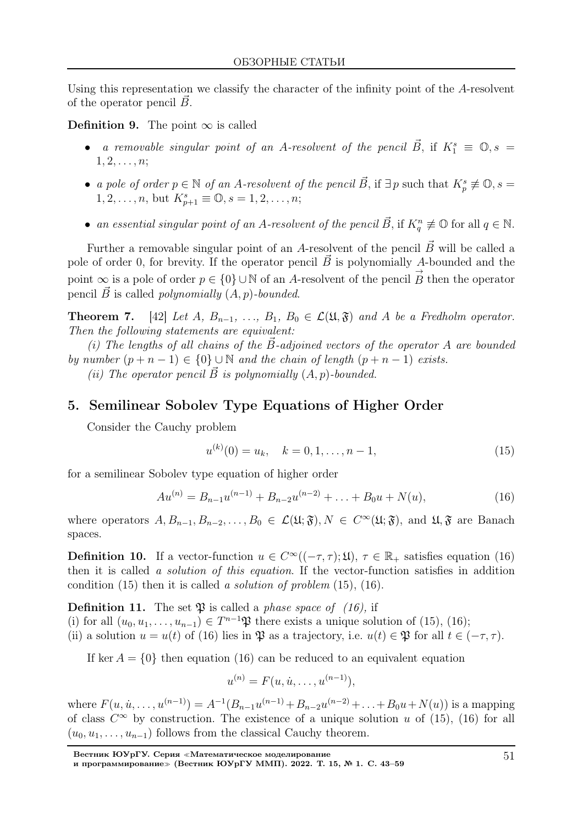Using this representation we classify the character of the infinity point of the A-resolvent of the operator pencil  $\vec{B}$ .

**Definition 9.** The point  $\infty$  is called

- a removable singular point of an A-resolvent of the pencil  $\vec{B}$ , if  $K_1^s \equiv \mathbb{O}, s =$  $1, 2, \ldots, n;$
- a pole of order  $p \in \mathbb{N}$  of an A-resolvent of the pencil  $\vec{B}$ , if  $\exists p$  such that  $K_p^s \not\equiv \mathbb{O}, s =$  $1, 2, \ldots, n$ , but  $K_{p+1}^s \equiv \mathbb{O}, s = 1, 2, \ldots, n;$
- an essential singular point of an A-resolvent of the pencil  $\vec{B}$ , if  $K_q^n \not\equiv \mathbb{O}$  for all  $q \in \mathbb{N}$ .

Further a removable singular point of an A-resolvent of the pencil  $\vec{B}$  will be called a pole of order 0, for brevity. If the operator pencil  $\vec{B}$  is polynomially A-bounded and the point  $\infty$  is a pole of order  $p \in \{0\} \cup \mathbb{N}$  of an A-resolvent of the pencil  $\overrightarrow{B}$ B then the operator pencil  $\vec{B}$  is called *polynomially*  $(A, p)$ -bounded.

**Theorem 7.** [42] Let A,  $B_{n-1}, \ldots, B_1, B_0 \in \mathcal{L}(\mathfrak{U}, \mathfrak{F})$  and A be a Fredholm operator. Then the following statements are equivalent:

(i) The lengths of all chains of the  $B$ -adjoined vectors of the operator A are bounded by number  $(p + n - 1) \in \{0\} \cup \mathbb{N}$  and the chain of length  $(p + n - 1)$  exists.

(ii) The operator pencil  $\vec{B}$  is polynomially  $(A, p)$ -bounded.

## 5. Semilinear Sobolev Type Equations of Higher Order

Consider the Cauchy problem

$$
u^{(k)}(0) = u_k, \quad k = 0, 1, \dots, n - 1,
$$
\n(15)

for a semilinear Sobolev type equation of higher order

$$
Au^{(n)} = B_{n-1}u^{(n-1)} + B_{n-2}u^{(n-2)} + \ldots + B_0u + N(u),
$$
\n(16)

where operators  $A, B_{n-1}, B_{n-2}, \ldots, B_0 \in \mathcal{L}(\mathfrak{U}; \mathfrak{F}), N \in C^{\infty}(\mathfrak{U}; \mathfrak{F})$ , and  $\mathfrak{U}, \mathfrak{F}$  are Banach spaces.

**Definition 10.** If a vector-function  $u \in C^{\infty}((-\tau, \tau); \mathfrak{U})$ ,  $\tau \in \mathbb{R}_+$  satisfies equation (16) then it is called a solution of this equation. If the vector-function satisfies in addition condition  $(15)$  then it is called a solution of problem  $(15)$ ,  $(16)$ .

**Definition 11.** The set  $\mathfrak{P}$  is called a *phase space of* (16), if

- (i) for all  $(u_0, u_1, \ldots, u_{n-1}) \in T^{n-1}\mathfrak{P}$  there exists a unique solution of (15), (16);
- (ii) a solution  $u = u(t)$  of (16) lies in  $\mathfrak{P}$  as a trajectory, i.e.  $u(t) \in \mathfrak{P}$  for all  $t \in (-\tau, \tau)$ .

If ker  $A = \{0\}$  then equation (16) can be reduced to an equivalent equation

$$
u^{(n)} = F(u, \dot{u}, \dots, u^{(n-1)}),
$$

where  $F(u, \dot{u}, \dots, u^{(n-1)}) = A^{-1}(B_{n-1}u^{(n-1)} + B_{n-2}u^{(n-2)} + \dots + B_0u + N(u))$  is a mapping of class  $C^{\infty}$  by construction. The existence of a unique solution u of (15), (16) for all  $(u_0, u_1, \ldots, u_{n-1})$  follows from the classical Cauchy theorem.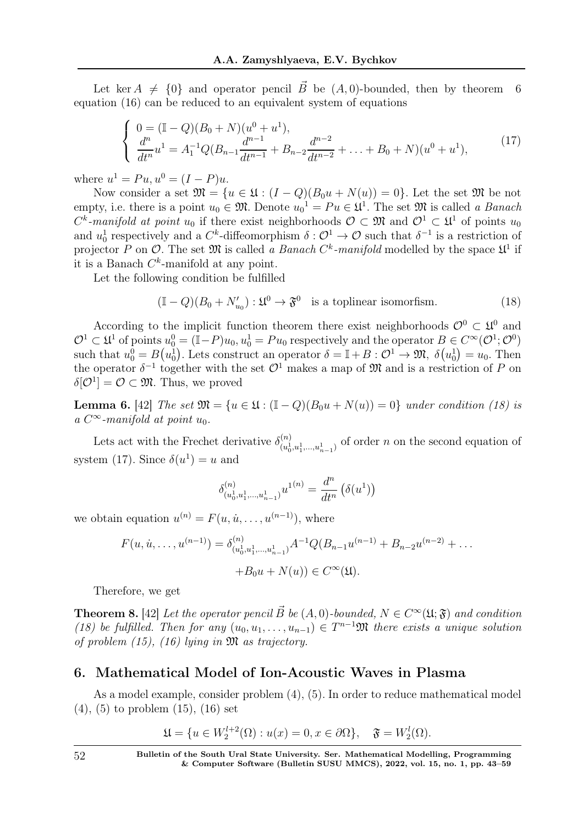Let ker  $A \neq \{0\}$  and operator pencil B be  $(A, 0)$ -bounded, then by theorem 6 equation (16) can be reduced to an equivalent system of equations

$$
\begin{cases}\n0 = (\mathbb{I} - Q)(B_0 + N)(u^0 + u^1), \n\frac{d^n}{dt^n} u^1 = A_1^{-1} Q(B_{n-1} \frac{d^{n-1}}{dt^{n-1}} + B_{n-2} \frac{d^{n-2}}{dt^{n-2}} + \dots + B_0 + N)(u^0 + u^1),\n\end{cases}
$$
\n(17)

where  $u^1 = Pu, u^0 = (I - P)u$ .

Now consider a set  $\mathfrak{M} = \{u \in \mathfrak{U} : (I - Q)(B_0u + N(u)) = 0\}$ . Let the set  $\mathfrak{M}$  be not empty, i.e. there is a point  $u_0 \in \mathfrak{M}$ . Denote  $u_0^1 = Pu \in \mathfrak{U}^1$ . The set  $\mathfrak{M}$  is called a *Banach*  $C^k$ -manifold at point  $u_0$  if there exist neighborhoods  $\mathcal{O} \subset \mathfrak{M}$  and  $\mathcal{O}^1 \subset \mathfrak{U}^1$  of points  $u_0$ and  $u_0^1$  respectively and a  $C^k$ -diffeomorphism  $\delta: \mathcal{O}^1 \to \mathcal{O}$  such that  $\delta^{-1}$  is a restriction of projector P on O. The set  $\mathfrak{M}$  is called a Banach  $C^k$ -manifold modelled by the space  $\mathfrak{U}^1$  if it is a Banach  $C^k$ -manifold at any point.

Let the following condition be fulfilled

$$
(\mathbb{I} - Q)(B_0 + N'_{u_0}) : \mathfrak{U}^0 \to \mathfrak{F}^0 \quad \text{is a toplinear isomorfism.} \tag{18}
$$

According to the implicit function theorem there exist neighborhoods  $\mathcal{O}^0 \subset \mathfrak{U}^0$  and  $\mathcal{O}^1 \subset \mathfrak{U}^1$  of points  $u_0^0 = (\mathbb{I} - P)u_0, u_0^1 = Pu_0$  respectively and the operator  $B \in C^\infty(\mathcal{O}^1; \mathcal{O}^0)$ such that  $u_0^0 = B(u_0^1)$ . Lets construct an operator  $\delta = \mathbb{I} + B : \mathcal{O}^1 \to \mathfrak{M}, \ \delta(u_0^1) = u_0$ . Then the operator  $\delta^{-1}$  together with the set  $\mathcal{O}^1$  makes a map of  $\mathfrak{M}$  and is a restriction of P on  $\delta[\mathcal{O}^1]=\mathcal{O}\subset\mathfrak{M}$ . Thus, we proved

**Lemma 6.** [42] The set  $\mathfrak{M} = \{u \in \mathfrak{U} : (\mathbb{I} - Q)(B_0u + N(u)) = 0\}$  under condition (18) is a  $C^{\infty}$ -manifold at point  $u_0$ .

Lets act with the Frechet derivative  $\delta_{(n)}^{(n)}$  $(u_0^1, u_1^1, \ldots, u_{n-1}^1)$  of order *n* on the second equation of system (17). Since  $\delta(u^1) = u$  and

$$
\delta_{(u_0^1, u_1^1, \dots, u_{n-1}^1)}^{(n)} u^{1(n)} = \frac{d^n}{dt^n} (\delta(u^1))
$$

we obtain equation  $u^{(n)} = F(u, \dot{u}, \dots, u^{(n-1)})$ , where

$$
F(u, \dot{u}, \dots, u^{(n-1)}) = \delta_{(u_0^1, u_1^1, \dots, u_{n-1}^1)}^{(n)} A^{-1} Q(B_{n-1} u^{(n-1)} + B_{n-2} u^{(n-2)} + \dots
$$
  
+
$$
B_0 u + N(u) \in C^\infty(\mathfrak{U}).
$$

Therefore, we get

**Theorem 8.** [42] Let the operator pencil  $\vec{B}$  be  $(A, 0)$ -bounded,  $N \in C^{\infty}(\mathfrak{U}; \mathfrak{F})$  and condition (18) be fulfilled. Then for any  $(u_0, u_1, \ldots, u_{n-1}) \in T^{n-1}\mathfrak{M}$  there exists a unique solution of problem  $(15)$ ,  $(16)$  lying in  $\mathfrak{M}$  as trajectory.

### 6. Mathematical Model of Ion-Acoustic Waves in Plasma

As a model example, consider problem (4), (5). In order to reduce mathematical model (4), (5) to problem (15), (16) set

$$
\mathfrak{U} = \{ u \in W_2^{l+2}(\Omega) : u(x) = 0, x \in \partial\Omega \}, \quad \mathfrak{F} = W_2^l(\Omega).
$$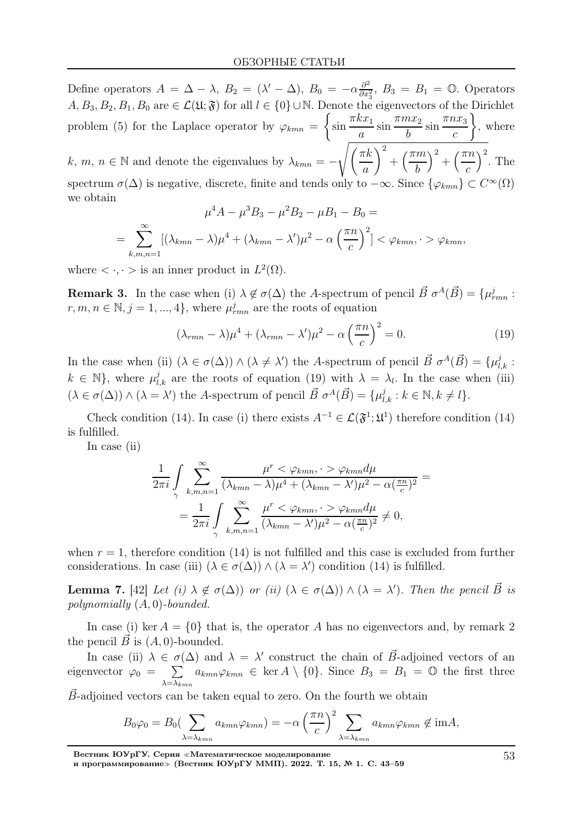Define operators  $A = \Delta - \lambda$ ,  $B_2 = (\lambda' - \Delta)$ ,  $B_0 = -\alpha \frac{\partial^2}{\partial x^2}$  $\frac{\partial^2}{\partial x_3^2}$ ,  $B_3 = B_1 = \mathbb{O}$ . Operators A,  $B_3, B_2, B_1, B_0$  are  $\in \mathcal{L}(\mathfrak{U}; \mathfrak{F})$  for all  $l \in \{0\} \cup \mathbb{N}$ . Denote the eigenvectors of the Dirichlet problem (5) for the Laplace operator by  $\varphi_{kmn} = \begin{cases} \frac{1}{2} & \text{if } k \leq 1 \\ 0 & \text{if } k \leq 1 \end{cases}$  $\sin \frac{\pi k x_1}{2}$ a  $\sin \frac{\pi mx_2}{l}$ b  $\sin \frac{\pi nx_3}{2}$  $\mathcal{C}_{0}^{(n)}$  $\Big\}$ , where k,  $m, n \in \mathbb{N}$  and denote the eigenvalues by  $\lambda_{kmn} = \int$  $\int$  $\pi k$ a  $\setminus^2$  $+\left(\frac{\pi m}{l}\right)$ b  $\big)^2 + \big(\frac{\pi n}{n} \big)$  $\mathcal{C}_{0}^{(n)}$  $\Big)^2$ . The spectrum  $\sigma(\Delta)$  is negative, discrete, finite and tends only to  $-\infty$ . Since  $\{\varphi_{kmn}\}\subset C^{\infty}(\Omega)$ we obtain  $\mu^4 A - \mu^3 B_3 - \mu^2 B_2 - \mu B_1 - B_0 =$ 

$$
\mu A - \mu D_3 - \mu D_2 - \mu D_1 - D_0 =
$$
  
= 
$$
\sum_{k,m,n=1}^{\infty} [(\lambda_{kmn} - \lambda)\mu^4 + (\lambda_{kmn} - \lambda')\mu^2 - \alpha \left(\frac{\pi n}{c}\right)^2] < \varphi_{kmn}, \quad > \varphi_{kmn},
$$

where  $\langle \cdot, \cdot \rangle$  is an inner product in  $L^2(\Omega)$ .

**Remark 3.** In the case when (i)  $\lambda \notin \sigma(\Delta)$  the A-spectrum of pencil  $\vec{B} \sigma^A(\vec{B}) = {\mu_{rmn}^j : \sigma^A(\vec{B})}$  $r, m, n \in \mathbb{N}, j = 1, ..., 4$ , where  $\mu_{rmn}^j$  are the roots of equation

$$
(\lambda_{rmn} - \lambda)\mu^4 + (\lambda_{rmn} - \lambda')\mu^2 - \alpha\left(\frac{\pi n}{c}\right)^2 = 0.
$$
 (19)

In the case when (ii)  $(\lambda \in \sigma(\Delta)) \wedge (\lambda \neq \lambda')$  the A-spectrum of pencil  $\vec{B} \sigma^A(\vec{B}) = {\mu_{l,k}^j : \lambda' \in \sigma(\Delta)}$  $k \in \mathbb{N}$ , where  $\mu_{l,k}^{j}$  are the roots of equation (19) with  $\lambda = \lambda_{l}$ . In the case when (iii)  $(\lambda \in \sigma(\Delta)) \wedge (\lambda = \lambda')$  the A-spectrum of pencil  $\vec{B} \sigma^A(\vec{B}) = {\mu_{l,k}^j : k \in \mathbb{N}, k \neq l}.$ 

Check condition (14). In case (i) there exists  $A^{-1} \in \mathcal{L}(\mathfrak{F}^1;\mathfrak{U}^1)$  therefore condition (14) is fulfilled.

In case (ii)

$$
\frac{1}{2\pi i} \int_{\gamma} \sum_{k,m,n=1}^{\infty} \frac{\mu^r < \varphi_{kmn}, \quad \varphi_{kmn} d\mu}{(\lambda_{kmn} - \lambda)\mu^4 + (\lambda_{kmn} - \lambda')\mu^2 - \alpha(\frac{\pi n}{c})^2} =
$$
\n
$$
= \frac{1}{2\pi i} \int_{\gamma} \sum_{k,m,n=1}^{\infty} \frac{\mu^r < \varphi_{kmn}, \quad \varphi_{kmn} d\mu}{(\lambda_{kmn} - \lambda')\mu^2 - \alpha(\frac{\pi n}{c})^2} \neq 0,
$$

when  $r = 1$ , therefore condition (14) is not fulfilled and this case is excluded from further considerations. In case (iii)  $(\lambda \in \sigma(\Delta)) \wedge (\lambda = \lambda')$  condition (14) is fulfilled.

**Lemma 7.** [42] Let (i)  $\lambda \notin \sigma(\Delta)$  or (ii)  $(\lambda \in \sigma(\Delta)) \wedge (\lambda = \lambda')$ . Then the pencil  $\vec{B}$  is polynomially (A, 0)-bounded.

In case (i) ker  $A = \{0\}$  that is, the operator A has no eigenvectors and, by remark 2 the pencil  $\vec{B}$  is  $(A, 0)$ -bounded.

In case (ii)  $\lambda \in \sigma(\Delta)$  and  $\lambda = \lambda'$  construct the chain of  $\vec{B}$ -adjoined vectors of an eigenvector  $\varphi_0 = \sum$  $\lambda = \lambda_{kmn}$  $a_{kmn}\varphi_{kmn} \in \text{ker } A \setminus \{0\}.$  Since  $B_3 = B_1 = \mathbb{O}$  the first three

 $B$ -adjoined vectors can be taken equal to zero. On the fourth we obtain

$$
B_0\varphi_0 = B_0 \left(\sum_{\lambda=\lambda_{kmn}} a_{kmn} \varphi_{kmn}\right) = -\alpha \left(\frac{\pi n}{c}\right)^2 \sum_{\lambda=\lambda_{kmn}} a_{kmn} \varphi_{kmn} \notin \text{im}A,
$$

Вестник ЮУрГУ. Серия <sup>≪</sup>Математическое моделирование

и программирование<sup>≫</sup> (Вестник ЮУрГУ ММП). 2022. Т. 15, № 1. С. 43–59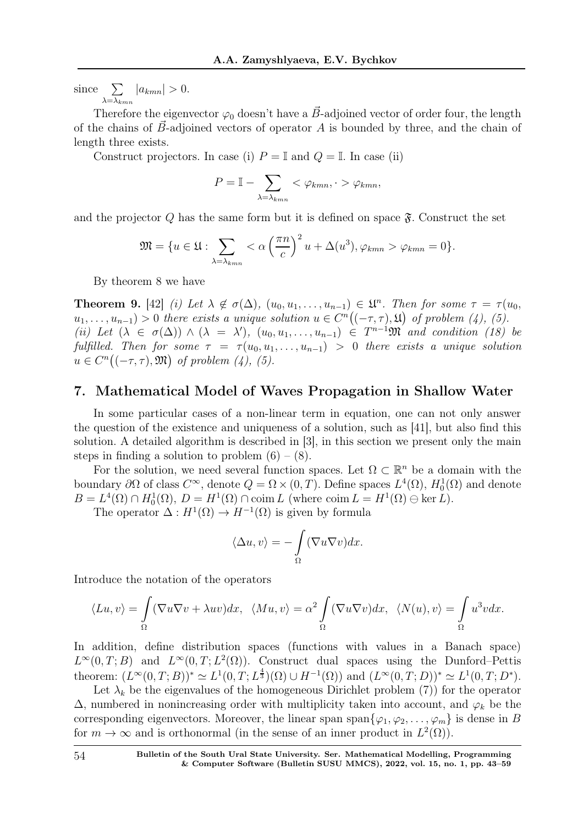since  $\sum$  $\lambda = \lambda_{kmn}$  $|a_{kmn}| > 0.$ 

Therefore the eigenvector  $\varphi_0$  doesn't have a  $\vec{B}$ -adjoined vector of order four, the length of the chains of  $\vec{B}$ -adjoined vectors of operator A is bounded by three, and the chain of length three exists.

Construct projectors. In case (i)  $P = \mathbb{I}$  and  $Q = \mathbb{I}$ . In case (ii)

$$
P = \mathbb{I} - \sum_{\lambda = \lambda_{kmn}} <\varphi_{kmn}, \quad \varphi_{kmn},
$$

and the projector  $Q$  has the same form but it is defined on space  $\mathfrak{F}$ . Construct the set

$$
\mathfrak{M} = \{ u \in \mathfrak{U} : \sum_{\lambda = \lambda_{kmn}} <\alpha \left( \frac{\pi n}{c} \right)^2 u + \Delta(u^3), \varphi_{kmn} > \varphi_{kmn} = 0 \}.
$$

By theorem 8 we have

**Theorem 9.** [42] (i) Let  $\lambda \notin \sigma(\Delta)$ ,  $(u_0, u_1, \ldots, u_{n-1}) \in \mathfrak{U}^n$ . Then for some  $\tau = \tau(u_0, u_1, \ldots, u_{n-1})$ .  $u_1, \ldots, u_{n-1}$  > 0 there exists a unique solution  $u \in C^n((-\tau, \tau), \mathfrak{U})$  of problem (4), (5). (ii) Let  $(\lambda \in \sigma(\Delta)) \wedge (\lambda = \lambda')$ ,  $(u_0, u_1, \ldots, u_{n-1}) \in T^{n-1} \mathfrak{M}$  and condition (18) be fulfilled. Then for some  $\tau = \tau(u_0, u_1, \ldots, u_{n-1}) > 0$  there exists a unique solution  $u \in C^n((-\tau,\tau),\mathfrak{M})$  of problem (4), (5).

## 7. Mathematical Model of Waves Propagation in Shallow Water

In some particular cases of a non-linear term in equation, one can not only answer the question of the existence and uniqueness of a solution, such as [41], but also find this solution. A detailed algorithm is described in [3], in this section we present only the main steps in finding a solution to problem  $(6) - (8)$ .

For the solution, we need several function spaces. Let  $\Omega \subset \mathbb{R}^n$  be a domain with the boundary  $\partial\Omega$  of class  $C^{\infty}$ , denote  $Q = \Omega \times (0,T)$ . Define spaces  $L^4(\Omega)$ ,  $H_0^1(\Omega)$  and denote  $B = L<sup>4</sup>(\Omega) \cap H_0<sup>1</sup>(\Omega), D = H<sup>1</sup>(\Omega) \cap \text{coim } L \text{ (where } \text{coim } L = H<sup>1</sup>(\Omega) \oplus \text{ker } L).$ 

The operator  $\Delta: H^1(\Omega) \to H^{-1}(\Omega)$  is given by formula

$$
\langle \Delta u, v \rangle = -\int_{\Omega} (\nabla u \nabla v) dx.
$$

Introduce the notation of the operators

$$
\langle Lu, v \rangle = \int_{\Omega} (\nabla u \nabla v + \lambda uv) dx, \quad \langle Mu, v \rangle = \alpha^2 \int_{\Omega} (\nabla u \nabla v) dx, \quad \langle N(u), v \rangle = \int_{\Omega} u^3 v dx.
$$

In addition, define distribution spaces (functions with values in a Banach space)  $L^{\infty}(0,T;B)$  and  $L^{\infty}(0,T;L^2(\Omega))$ . Construct dual spaces using the Dunford–Pettis theorem:  $(L^{\infty}(0,T;B))^* \simeq L^1(0,T;L^{\frac{4}{3}})(\Omega) \cup H^{-1}(\Omega))$  and  $(L^{\infty}(0,T;D))^* \simeq L^1(0,T;D^*).$ 

Let  $\lambda_k$  be the eigenvalues of the homogeneous Dirichlet problem (7)) for the operator  $\Delta$ , numbered in nonincreasing order with multiplicity taken into account, and  $\varphi_k$  be the corresponding eigenvectors. Moreover, the linear span span $\{\varphi_1, \varphi_2, \ldots, \varphi_m\}$  is dense in B for  $m \to \infty$  and is orthonormal (in the sense of an inner product in  $L^2(\Omega)$ ).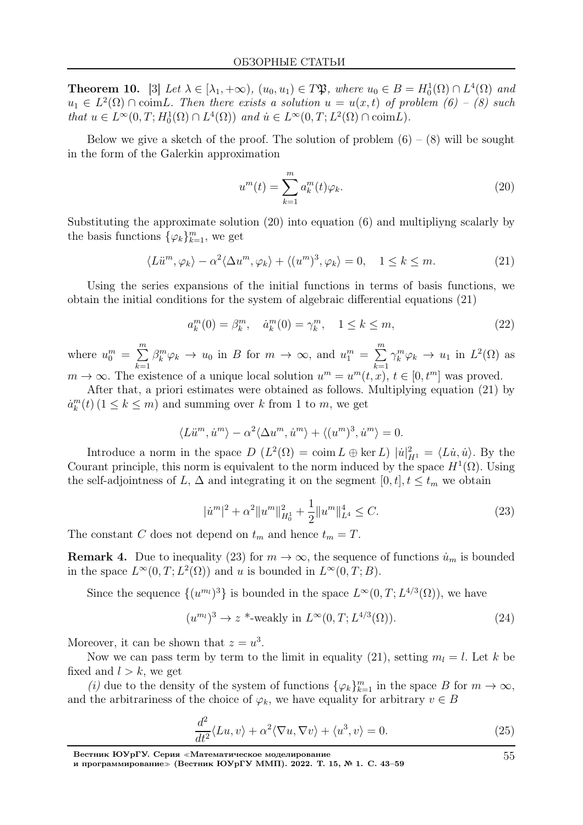**Theorem 10.** [3] Let  $\lambda \in [\lambda_1, +\infty)$ ,  $(u_0, u_1) \in T\mathfrak{P}$ , where  $u_0 \in B = H_0^1(\Omega) \cap L^4(\Omega)$  and  $u_1 \in L^2(\Omega) \cap \text{coim} L$ . Then there exists a solution  $u = u(x,t)$  of problem  $(6) - (8)$  such that  $u \in L^{\infty}(0,T; H_0^1(\Omega) \cap L^4(\Omega))$  and  $\dot{u} \in L^{\infty}(0,T; L^2(\Omega) \cap \text{coim} L)$ .

Below we give a sketch of the proof. The solution of problem  $(6) - (8)$  will be sought in the form of the Galerkin approximation

$$
u^m(t) = \sum_{k=1}^m a_k^m(t)\varphi_k.
$$
\n(20)

Substituting the approximate solution (20) into equation (6) and multipliyng scalarly by the basis functions  $\{\varphi_k\}_{k=1}^m$ , we get

$$
\langle L\ddot{u}^m, \varphi_k \rangle - \alpha^2 \langle \Delta u^m, \varphi_k \rangle + \langle (u^m)^3, \varphi_k \rangle = 0, \quad 1 \le k \le m. \tag{21}
$$

Using the series expansions of the initial functions in terms of basis functions, we obtain the initial conditions for the system of algebraic differential equations (21)

$$
a_k^m(0) = \beta_k^m, \quad \dot{a}_k^m(0) = \gamma_k^m, \quad 1 \le k \le m,
$$
\n(22)

where  $u_0^m = \sum_{n=1}^{\infty}$  $_{k=1}$  $\beta_k^m \varphi_k \to u_0$  in B for  $m \to \infty$ , and  $u_1^m = \sum_{n=1}^{\infty}$  $k=1$  $\gamma_k^m \varphi_k \to u_1$  in  $L^2(\Omega)$  as  $m \to \infty$ . The existence of a unique local solution  $u^m = u^m(t, x)$ ,  $t \in [0, t^m]$  was proved.

After that, a priori estimates were obtained as follows. Multiplying equation (21) by  $a_k^m(t)$  ( $1 \leq k \leq m$ ) and summing over k from 1 to m, we get

$$
\langle L\ddot{u}^m, \dot{u}^m \rangle - \alpha^2 \langle \Delta u^m, \dot{u}^m \rangle + \langle (u^m)^3, \dot{u}^m \rangle = 0.
$$

Introduce a norm in the space  $D(L^2(\Omega) = \text{coim } L \oplus \text{ker } L) |u|_{H^1}^2 = \langle L\dot{u}, \dot{u} \rangle$ . By the Courant principle, this norm is equivalent to the norm induced by the space  $H^1(\Omega)$ . Using the self-adjointness of L,  $\Delta$  and integrating it on the segment  $[0, t]$ ,  $t \leq t_m$  we obtain

$$
|\dot{u}^{m}|^{2} + \alpha^{2} \|u^{m}\|_{H_{0}^{1}}^{2} + \frac{1}{2} \|u^{m}\|_{L^{4}}^{4} \leq C.
$$
 (23)

The constant C does not depend on  $t_m$  and hence  $t_m = T$ .

**Remark 4.** Due to inequality (23) for  $m \to \infty$ , the sequence of functions  $\dot{u}_m$  is bounded in the space  $L^{\infty}(0,T; L^2(\Omega))$  and u is bounded in  $L^{\infty}(0,T; B)$ .

Since the sequence  $\{(u^{m_l})^3\}$  is bounded in the space  $L^{\infty}(0,T; L^{4/3}(\Omega))$ , we have

$$
(u^{m_l})^3 \to z^* \text{-weakly in } L^\infty(0, T; L^{4/3}(\Omega)).\tag{24}
$$

Moreover, it can be shown that  $z = u^3$ .

Now we can pass term by term to the limit in equality (21), setting  $m_l = l$ . Let k be fixed and  $l > k$ , we get

(i) due to the density of the system of functions  $\{\varphi_k\}_{k=1}^m$  in the space B for  $m \to \infty$ , and the arbitrariness of the choice of  $\varphi_k$ , we have equality for arbitrary  $v \in B$ 

$$
\frac{d^2}{dt^2} \langle Lu, v \rangle + \alpha^2 \langle \nabla u, \nabla v \rangle + \langle u^3, v \rangle = 0.
$$
 (25)

Вестник ЮУрГУ. Серия <sup>≪</sup>Математическое моделирование

55

и программирование<sup>≫</sup> (Вестник ЮУрГУ ММП). 2022. Т. 15, № 1. С. 43–59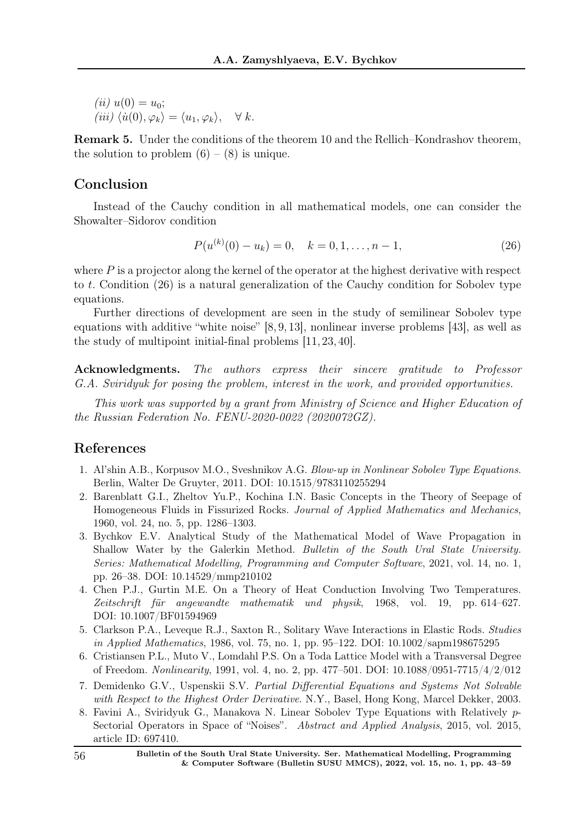(*ii*)  $u(0) = u_0$ ; (iii)  $\langle \dot{u}(0), \varphi_k \rangle = \langle u_1, \varphi_k \rangle, \quad \forall k.$ 

Remark 5. Under the conditions of the theorem 10 and the Rellich–Kondrashov theorem, the solution to problem  $(6) - (8)$  is unique.

# Conclusion

Instead of the Cauchy condition in all mathematical models, one can consider the Showalter–Sidorov condition

$$
P(u^{(k)}(0) - u_k) = 0, \quad k = 0, 1, \dots, n - 1,
$$
\n(26)

where  $P$  is a projector along the kernel of the operator at the highest derivative with respect to t. Condition (26) is a natural generalization of the Cauchy condition for Sobolev type equations.

Further directions of development are seen in the study of semilinear Sobolev type equations with additive "white noise" [8, 9, 13], nonlinear inverse problems [43], as well as the study of multipoint initial-final problems [11, 23, 40].

Acknowledgments. The authors express their sincere gratitude to Professor G.A. Sviridyuk for posing the problem, interest in the work, and provided opportunities.

This work was supported by a grant from Ministry of Science and Higher Education of the Russian Federation No. FENU-2020-0022 (2020072GZ).

## References

- 1. Al'shin A.B., Korpusov M.O., Sveshnikov A.G. Blow-up in Nonlinear Sobolev Type Equations. Berlin, Walter De Gruyter, 2011. DOI: 10.1515/9783110255294
- 2. Barenblatt G.I., Zheltov Yu.P., Kochina I.N. Basic Concepts in the Theory of Seepage of Homogeneous Fluids in Fissurized Rocks. Journal of Applied Mathematics and Mechanics, 1960, vol. 24, no. 5, pp. 1286–1303.
- 3. Bychkov E.V. Analytical Study of the Mathematical Model of Wave Propagation in Shallow Water by the Galerkin Method. Bulletin of the South Ural State University. Series: Mathematical Modelling, Programming and Computer Software, 2021, vol. 14, no. 1, pp. 26–38. DOI: 10.14529/mmp210102
- 4. Chen P.J., Gurtin M.E. On a Theory of Heat Conduction Involving Two Temperatures. Zeitschrift für angewandte mathematik und physik, 1968, vol. 19, pp. 614–627. DOI: 10.1007/BF01594969
- 5. Clarkson P.A., Leveque R.J., Saxton R., Solitary Wave Interactions in Elastic Rods. Studies in Applied Mathematics, 1986, vol. 75, no. 1, pp. 95–122. DOI: 10.1002/sapm198675295
- 6. Cristiansen P.L., Muto V., Lomdahl P.S. On a Toda Lattice Model with a Transversal Degree of Freedom. Nonlinearity, 1991, vol. 4, no. 2, pp. 477–501. DOI: 10.1088/0951-7715/4/2/012
- 7. Demidenko G.V., Uspenskii S.V. Partial Differential Equations and Systems Not Solvable with Respect to the Highest Order Derivative. N.Y., Basel, Hong Kong, Marcel Dekker, 2003.
- 8. Favini A., Sviridyuk G., Manakova N. Linear Sobolev Type Equations with Relatively p-Sectorial Operators in Space of "Noises". Abstract and Applied Analysis, 2015, vol. 2015, article ID: 697410.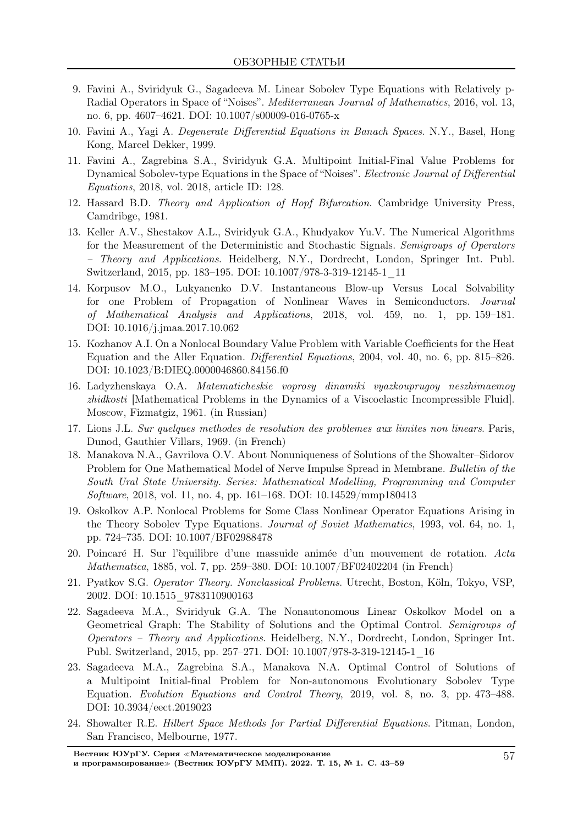- 9. Favini A., Sviridyuk G., Sagadeeva M. Linear Sobolev Type Equations with Relatively p-Radial Operators in Space of "Noises". Mediterranean Journal of Mathematics, 2016, vol. 13, no. 6, pp. 4607–4621. DOI: 10.1007/s00009-016-0765-x
- 10. Favini A., Yagi A. Degenerate Differential Equations in Banach Spaces. N.Y., Basel, Hong Kong, Marcel Dekker, 1999.
- 11. Favini A., Zagrebina S.A., Sviridyuk G.A. Multipoint Initial-Final Value Problems for Dynamical Sobolev-type Equations in the Space of "Noises". Electronic Journal of Differential Equations, 2018, vol. 2018, article ID: 128.
- 12. Hassard B.D. Theory and Application of Hopf Bifurcation. Cambridge University Press, Camdribge, 1981.
- 13. Keller A.V., Shestakov A.L., Sviridyuk G.A., Khudyakov Yu.V. The Numerical Algorithms for the Measurement of the Deterministic and Stochastic Signals. Semigroups of Operators – Theory and Applications. Heidelberg, N.Y., Dordrecht, London, Springer Int. Publ. Switzerland, 2015, pp. 183–195. DOI: 10.1007/978-3-319-12145-1\_11
- 14. Korpusov M.O., Lukyanenko D.V. Instantaneous Blow-up Versus Local Solvability for one Problem of Propagation of Nonlinear Waves in Semiconductors. Journal of Mathematical Analysis and Applications, 2018, vol. 459, no. 1, pp. 159–181. DOI: 10.1016/j.jmaa.2017.10.062
- 15. Kozhanov A.I. On a Nonlocal Boundary Value Problem with Variable Coefficients for the Heat Equation and the Aller Equation. Differential Equations, 2004, vol. 40, no. 6, pp. 815–826. DOI: 10.1023/B:DIEQ.0000046860.84156.f0
- 16. Ladyzhenskaya O.A. Matematicheskie voprosy dinamiki vyazkouprugoy neszhimaemoy zhidkosti [Mathematical Problems in the Dynamics of a Viscoelastic Incompressible Fluid]. Moscow, Fizmatgiz, 1961. (in Russian)
- 17. Lions J.L. Sur quelques methodes de resolution des problemes aux limites non linears. Paris, Dunod, Gauthier Villars, 1969. (in French)
- 18. Manakova N.A., Gavrilova O.V. About Nonuniqueness of Solutions of the Showalter–Sidorov Problem for One Mathematical Model of Nerve Impulse Spread in Membrane. Bulletin of the South Ural State University. Series: Mathematical Modelling, Programming and Computer Software, 2018, vol. 11, no. 4, pp. 161–168. DOI: 10.14529/mmp180413
- 19. Oskolkov A.P. Nonlocal Problems for Some Class Nonlinear Operator Equations Arising in the Theory Sobolev Type Equations. *Journal of Soviet Mathematics*, 1993, vol. 64, no. 1, pp. 724–735. DOI: 10.1007/BF02988478
- 20. Poincaré H. Sur l'èquilibre d'une massuide animée d'un mouvement de rotation. Acta Mathematica, 1885, vol. 7, pp. 259–380. DOI: 10.1007/BF02402204 (in French)
- 21. Pyatkov S.G. Operator Theory. Nonclassical Problems. Utrecht, Boston, Köln, Tokyo, VSP, 2002. DOI: 10.1515\_9783110900163
- 22. Sagadeeva M.A., Sviridyuk G.A. The Nonautonomous Linear Oskolkov Model on a Geometrical Graph: The Stability of Solutions and the Optimal Control. Semigroups of Operators – Theory and Applications. Heidelberg, N.Y., Dordrecht, London, Springer Int. Publ. Switzerland, 2015, pp. 257–271. DOI: 10.1007/978-3-319-12145-1\_16
- 23. Sagadeeva M.A., Zagrebina S.A., Manakova N.A. Optimal Control of Solutions of a Multipoint Initial-final Problem for Non-autonomous Evolutionary Sobolev Type Equation. Evolution Equations and Control Theory, 2019, vol. 8, no. 3, pp. 473–488. DOI: 10.3934/eect.2019023
- 24. Showalter R.E. Hilbert Space Methods for Partial Differential Equations. Pitman, London, San Francisco, Melbourne, 1977.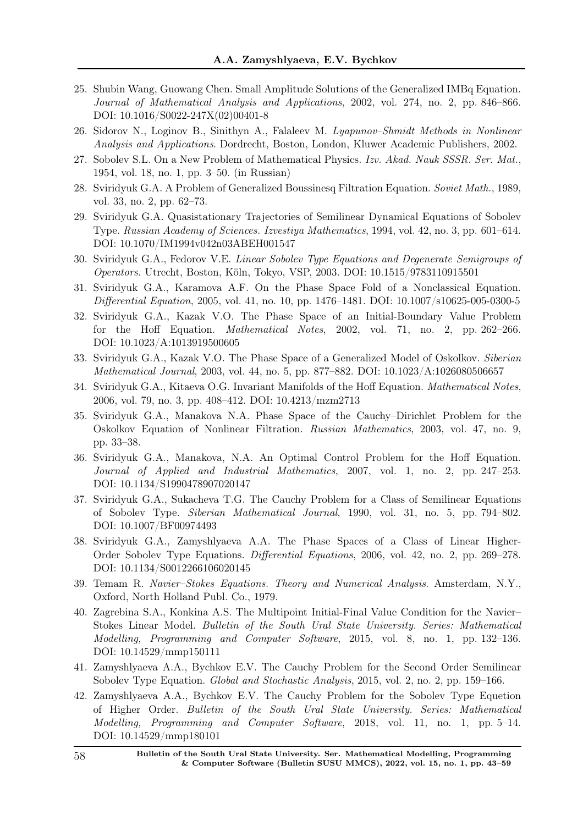- 25. Shubin Wang, Guowang Chen. Small Amplitude Solutions of the Generalized IMBq Equation. Journal of Mathematical Analysis and Applications, 2002, vol. 274, no. 2, pp. 846–866. DOI: 10.1016/S0022-247X(02)00401-8
- 26. Sidorov N., Loginov B., Sinithyn A., Falaleev M. Lyapunov–Shmidt Methods in Nonlinear Analysis and Applications. Dordrecht, Boston, London, Kluwer Academic Publishers, 2002.
- 27. Sobolev S.L. On a New Problem of Mathematical Physics. Izv. Akad. Nauk SSSR. Ser. Mat., 1954, vol. 18, no. 1, pp. 3–50. (in Russian)
- 28. Sviridyuk G.A. A Problem of Generalized Boussinesq Filtration Equation. Soviet Math., 1989, vol. 33, no. 2, pp. 62–73.
- 29. Sviridyuk G.A. Quasistationary Trajectories of Semilinear Dynamical Equations of Sobolev Type. Russian Academy of Sciences. Izvestiya Mathematics, 1994, vol. 42, no. 3, pp. 601–614. DOI: 10.1070/IM1994v042n03ABEH001547
- 30. Sviridyuk G.A., Fedorov V.E. Linear Sobolev Type Equations and Degenerate Semigroups of Operators. Utrecht, Boston, Köln, Tokyo, VSP, 2003. DOI: 10.1515/9783110915501
- 31. Sviridyuk G.A., Karamova A.F. On the Phase Space Fold of a Nonclassical Equation. Differential Equation, 2005, vol. 41, no. 10, pp. 1476–1481. DOI: 10.1007/s10625-005-0300-5
- 32. Sviridyuk G.A., Kazak V.O. The Phase Space of an Initial-Boundary Value Problem for the Hoff Equation. Mathematical Notes, 2002, vol. 71, no. 2, pp. 262–266. DOI: 10.1023/A:1013919500605
- 33. Sviridyuk G.A., Kazak V.O. The Phase Space of a Generalized Model of Oskolkov. Siberian Mathematical Journal, 2003, vol. 44, no. 5, pp. 877–882. DOI: 10.1023/A:1026080506657
- 34. Sviridyuk G.A., Kitaeva O.G. Invariant Manifolds of the Hoff Equation. Mathematical Notes, 2006, vol. 79, no. 3, pp. 408–412. DOI: 10.4213/mzm2713
- 35. Sviridyuk G.A., Manakova N.A. Phase Space of the Cauchy–Dirichlet Problem for the Oskolkov Equation of Nonlinear Filtration. Russian Mathematics, 2003, vol. 47, no. 9, pp. 33–38.
- 36. Sviridyuk G.A., Manakova, N.A. An Optimal Control Problem for the Hoff Equation. Journal of Applied and Industrial Mathematics, 2007, vol. 1, no. 2, pp. 247–253. DOI: 10.1134/S1990478907020147
- 37. Sviridyuk G.A., Sukacheva T.G. The Cauchy Problem for a Class of Semilinear Equations of Sobolev Type. Siberian Mathematical Journal, 1990, vol. 31, no. 5, pp. 794–802. DOI: 10.1007/BF00974493
- 38. Sviridyuk G.A., Zamyshlyaeva A.A. The Phase Spaces of a Class of Linear Higher-Order Sobolev Type Equations. Differential Equations, 2006, vol. 42, no. 2, pp. 269–278. DOI: 10.1134/S0012266106020145
- 39. Temam R. Navier–Stokes Equations. Theory and Numerical Analysis. Amsterdam, N.Y., Oxford, North Holland Publ. Co., 1979.
- 40. Zagrebina S.A., Konkina A.S. The Multipoint Initial-Final Value Condition for the Navier– Stokes Linear Model. Bulletin of the South Ural State University. Series: Mathematical Modelling, Programming and Computer Software, 2015, vol. 8, no. 1, pp. 132–136. DOI: 10.14529/mmp150111
- 41. Zamyshlyaeva A.A., Bychkov E.V. The Cauchy Problem for the Second Order Semilinear Sobolev Type Equation. Global and Stochastic Analysis, 2015, vol. 2, no. 2, pp. 159–166.
- 42. Zamyshlyaeva A.A., Bychkov E.V. The Cauchy Problem for the Sobolev Type Equetion of Higher Order. Bulletin of the South Ural State University. Series: Mathematical Modelling, Programming and Computer Software, 2018, vol. 11, no. 1, pp. 5–14. DOI: 10.14529/mmp180101